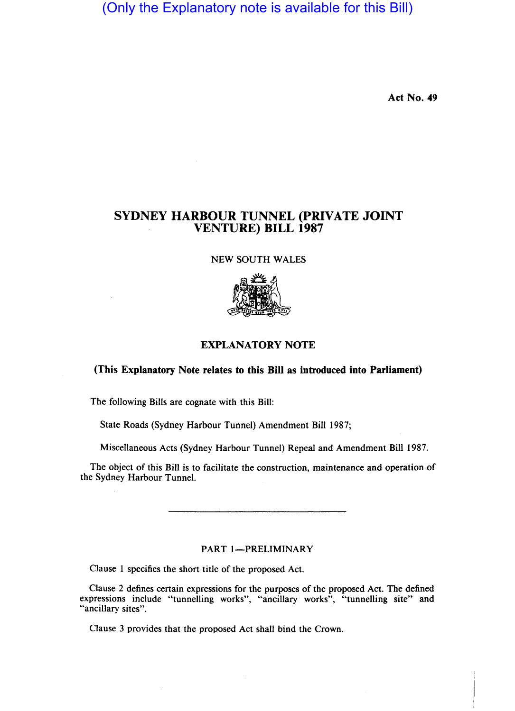(Only the Explanatory note is available for this Bill)

Act No. 49

## SYDNEY HARBOUR TUNNEL (PRIVATE JOINT VENTURE) **BILL** 1987

### NEW SOUTH WALES



## EXPLANATORY NOTE

#### (This Explanatory Note relates to this Bill as introduced into Parliament)

The following Bills are cognate with this Bill:

State Roads (Sydney Harbour Tunnel) Amendment Bill 1987;

Miscellaneous Acts (Sydney Harbour Tunnel) Repeal and Amendment Bill 1987.

The object of this Bill is to facilitate the construction, maintenance and operation of the Sydney Harbour Tunnel.

#### PART 1-PRELIMINARY

Clause I specifies the short title of the proposed Act.

Clause 2 defines certain expressions for the purposes of the proposed Act. The defined expressions include "tunnelling works", "ancillary works", "tunnelling site" and "ancillary sites".

Clause 3 provides that the proposed Act shall bind the Crown.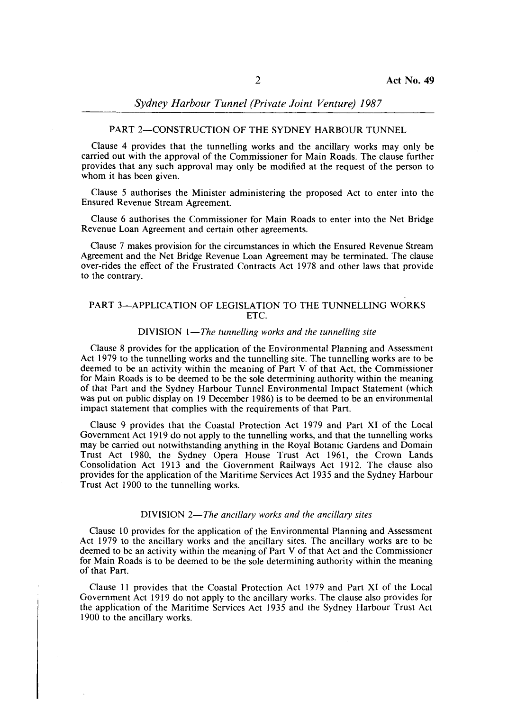# *Sydney Harbour Tunnel (Private Joint Venture) 1987*

### PART 2-CONSTRUCTION OF THE SYDNEY HARBOUR TUNNEL

Clause 4 provides that the tunnelling works and the ancillary works may only be carried out with the approval of the Commissioner for Main Roads. The clause further provides that any such approval may only be modified at the request of the person to whom it has been given.

Clause 5 authorises the Minister administering the proposed Act to enter into the Ensured Revenue Stream Agreement.

Clause 6 authorises the Commissioner for Main Roads to enter into the Net Bridge Revenue Loan Agreement and certain other agreements.

Clause 7 makes provision for the circumstances in which the Ensured Revenue Stream Agreement and the Net Bridge Revenue Loan Agreement may be terminated. The clause over-rides the effect of the Frustrated Contracts Act 1978 and other laws that provide to the contrary.

#### PART 3-APPLICATION OF LEGISLATION TO THE TUNNELLING WORKS ETC.

#### DIVISION *I-The tunnelling works and the tunnelling site*

Clause 8 provides for the application of the Environmental Planning and Assessment Act 1979 to the tunnelling works and the tunnelling site. The tunnelling works are to be deemed to be an activity within the meaning of Part V of that Act, the Commissioner for Main Roads is to be deemed to be the sole determining authority within the meaning of that Part and the Sydney Harbour Tunnel Environmental Impact Statement (which was put on public display on 19 December 1986) is to be deemed to be an environmental impact statement that complies with the requirements of that Part.

Clause 9 provides that· the Coastal Protection Act 1979 and Part XI of the Local Government Act 1919 do not apply to the tunnelling works, and that the tunnelling works may be carried out notwithstanding anything in the Royal Botanic Gardens and Domain Trust Act 1980, the Sydney Opera House Trust Act 1961, the Crown Lands Consolidation Act 1913 and the Government Railways Act 1912. The clause also provides for the application of the Maritime Services Act 1935 and the Sydney Harbour Trust Act 1900 to the tunnelling works.

#### DIVISION 2-*The ancillary works and the ancillary sites*

Clause 10 provides for the application of the Environmental Planning and Assessment Act 1979 to the ancillary works and the ancillary sites. The ancillary works are to be deemed to be an activity within the meaning of Part V of that Act and the Commissioner for Main Roads is to be deemed to be the sole determining authority within the meaning of that Part.

Clause II provides that the Coastal Protection Act 1979 and Part XI of the Local Government Act 1919 do not apply to the ancillary works. The clause also provides for the application of the Maritime Services Act 1935 and the Sydney Harbour Trust Act 1900 to the ancillary works.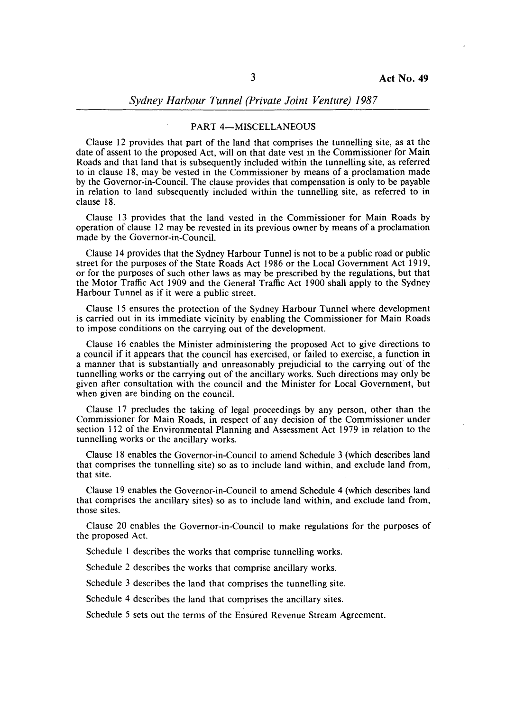#### PART 4-MISCELLANEOUS

Clause 12 provides that part of the land that comprises the tunnelling site, as at the date of assent to the proposed Act, will on that date vest in the Commissioner for Main Roads and that land that is subsequently included within the tunnelling site, as referred to in clause 18, may be vested in the Commissioner by means of a proclamation made by the Governor-in-Council. The clause provides that compensation is only to be payable in relation to land subsequently included within the tunnelling site, as referred to in clause 18.

Clause 13 provides that the land vested in the Commissioner for Main Roads by operation of clause 12 may be revested in its previous owner by means of a proclamation made by the Governor-in-Council.

Clause 14 provides that the Sydney Harbour Tunnel is not to be a public road or public street for the purposes of the State Roads Act 1986 or the Local Government Act 1919, or for the purposes of such other laws as may be prescribed by the regulations, but that the Motor Traffic Act 1909 and the General Traffic Act 1900 shall apply to the Sydney Harbour Tunnel as if it were a public street.

Clause 15 ensures the protection of the Sydney Harbour Tunnel where development is carried out in its immediate vicinity by enabling the Commissioner for Main Roads to impose conditions on the carrying out of the development.

Clause 16 enables the Minister administering the proposed Act to give directions to a council if it appears that the council has exercised, or failed to exercise, a function in a manner that is substantially and unreasonably prejudicial to the carrying out of the tunnelling works or the carrying out of the ancillary works. Such directions may only be given after consultation with the council and the Minister for Local Government, but when given are binding on the council.

Clause 17 precludes the taking of legal proceedings by any person, other than the Commissioner for Main Roads, in respect of any decision of the Commissioner under section 112 of the Environmental Planning and Assessment Act 1979 in relation to the tunnelling works or the ancillary works.

Clause 18 enables the Governor-in-Council to amend Schedule 3 (which describes land that comprises the tunnelling site) so as to include land within, and exclude land from, that site.

Clause 19 enables the Governor-in-Council to amend Schedule 4 (which describes land that comprises the ancillary sites) so as to include land within, and exclude land from, those sites.

clause 20 enables the Governor-in-Council to make regulations for the purposes of the proposed Act.

Schedule I describes the works that comprise tunnelling works.

Schedule 2 describes the works that comprise ancillary works.

Schedule 3 describes the land that comprises the tunnelling site.

Schedule 4 describes the land that comprises the ancillary sites.

Schedule 5 sets out the terms of the Ensured Revenue Stream Agreement.